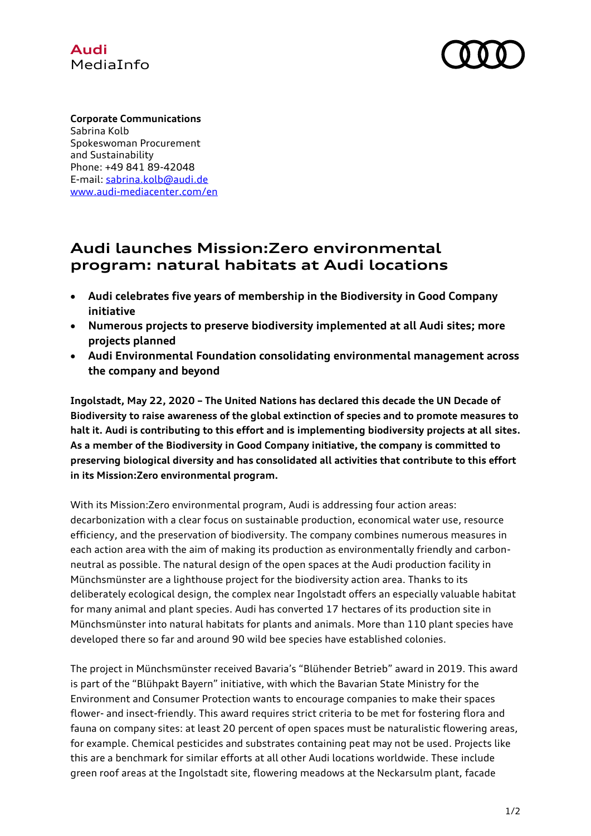



**Corporate Communications** Sabrina Kolb Spokeswoman Procurement and Sustainability Phone: +49 841 89-42048 E-mail: [sabrina.kolb@audi.de](mailto:sabrina.kolb@audi.de) [www.audi-mediacenter.com/en](http://www.audi-mediacenter.com/en)

## **Audi launches Mission:Zero environmental program: natural habitats at Audi locations**

- **Audi celebrates five years of membership in the Biodiversity in Good Company initiative**
- **Numerous projects to preserve biodiversity implemented at all Audi sites; more projects planned**
- **Audi Environmental Foundation consolidating environmental management across the company and beyond**

**Ingolstadt, May 22, 2020 – The United Nations has declared this decade the UN Decade of Biodiversity to raise awareness of the global extinction of species and to promote measures to halt it. Audi is contributing to this effort and is implementing biodiversity projects at all sites. As a member of the Biodiversity in Good Company initiative, the company is committed to preserving biological diversity and has consolidated all activities that contribute to this effort in its Mission:Zero environmental program.**

With its Mission:Zero environmental program, Audi is addressing four action areas: decarbonization with a clear focus on sustainable production, economical water use, resource efficiency, and the preservation of biodiversity. The company combines numerous measures in each action area with the aim of making its production as environmentally friendly and carbonneutral as possible. The natural design of the open spaces at the Audi production facility in Münchsmünster are a lighthouse project for the biodiversity action area. Thanks to its deliberately ecological design, the complex near Ingolstadt offers an especially valuable habitat for many animal and plant species. Audi has converted 17 hectares of its production site in Münchsmünster into natural habitats for plants and animals. More than 110 plant species have developed there so far and around 90 wild bee species have established colonies.

The project in Münchsmünster received Bavaria's "Blühender Betrieb" award in 2019. This award is part of the "Blühpakt Bayern" initiative, with which the Bavarian State Ministry for the Environment and Consumer Protection wants to encourage companies to make their spaces flower- and insect-friendly. This award requires strict criteria to be met for fostering flora and fauna on company sites: at least 20 percent of open spaces must be naturalistic flowering areas, for example. Chemical pesticides and substrates containing peat may not be used. Projects like this are a benchmark for similar efforts at all other Audi locations worldwide. These include green roof areas at the Ingolstadt site, flowering meadows at the Neckarsulm plant, facade